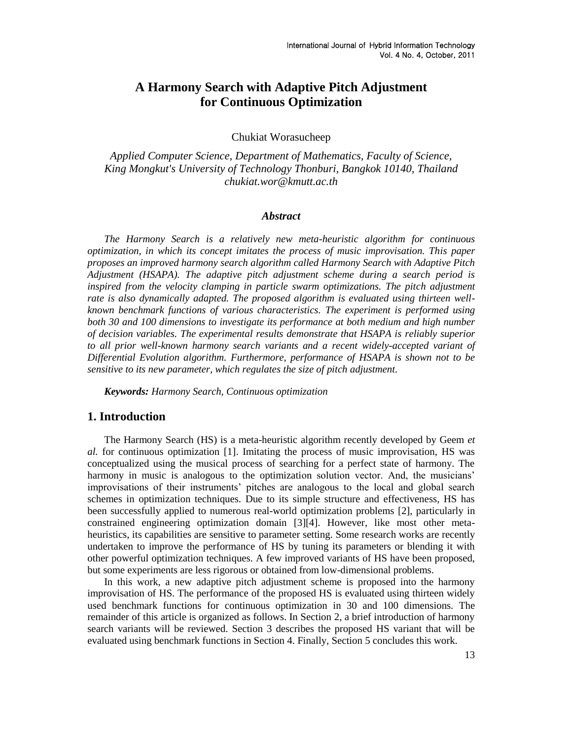# **A Harmony Search with Adaptive Pitch Adjustment for Continuous Optimization**

Chukiat Worasucheep

*Applied Computer Science, Department of Mathematics, Faculty of Science, King Mongkut's University of Technology Thonburi, Bangkok 10140, Thailand chukiat.wor@kmutt.ac.th*

#### *Abstract*

*The Harmony Search is a relatively new meta-heuristic algorithm for continuous optimization, in which its concept imitates the process of music improvisation. This paper proposes an improved harmony search algorithm called Harmony Search with Adaptive Pitch Adjustment (HSAPA). The adaptive pitch adjustment scheme during a search period is inspired from the velocity clamping in particle swarm optimizations. The pitch adjustment rate is also dynamically adapted. The proposed algorithm is evaluated using thirteen wellknown benchmark functions of various characteristics. The experiment is performed using both 30 and 100 dimensions to investigate its performance at both medium and high number of decision variables. The experimental results demonstrate that HSAPA is reliably superior to all prior well-known harmony search variants and a recent widely-accepted variant of Differential Evolution algorithm. Furthermore, performance of HSAPA is shown not to be sensitive to its new parameter, which regulates the size of pitch adjustment.*

*Keywords: Harmony Search, Continuous optimization*

# **1. Introduction**

The Harmony Search (HS) is a meta-heuristic algorithm recently developed by Geem *et al.* for continuous optimization [\[1\].](#page-5-0) Imitating the process of music improvisation, HS was conceptualized using the musical process of searching for a perfect state of harmony. The harmony in music is analogous to the optimization solution vector. And, the musicians' improvisations of their instruments' pitches are analogous to the local and global search schemes in optimization techniques. Due to its simple structure and effectiveness, HS has been successfully applied to numerous real-world optimization problems [\[2\],](#page-5-1) particularly in constrained engineering optimization domain [\[3\]\[4\].](#page-6-0) However, like most other metaheuristics, its capabilities are sensitive to parameter setting. Some research works are recently undertaken to improve the performance of HS by tuning its parameters or blending it with other powerful optimization techniques. A few improved variants of HS have been proposed, but some experiments are less rigorous or obtained from low-dimensional problems.

In this work, a new adaptive pitch adjustment scheme is proposed into the harmony improvisation of HS. The performance of the proposed HS is evaluated using thirteen widely used benchmark functions for continuous optimization in 30 and 100 dimensions. The remainder of this article is organized as follows. In Section 2, a brief introduction of harmony search variants will be reviewed. Section 3 describes the proposed HS variant that will be evaluated using benchmark functions in Section 4. Finally, Section 5 concludes this work.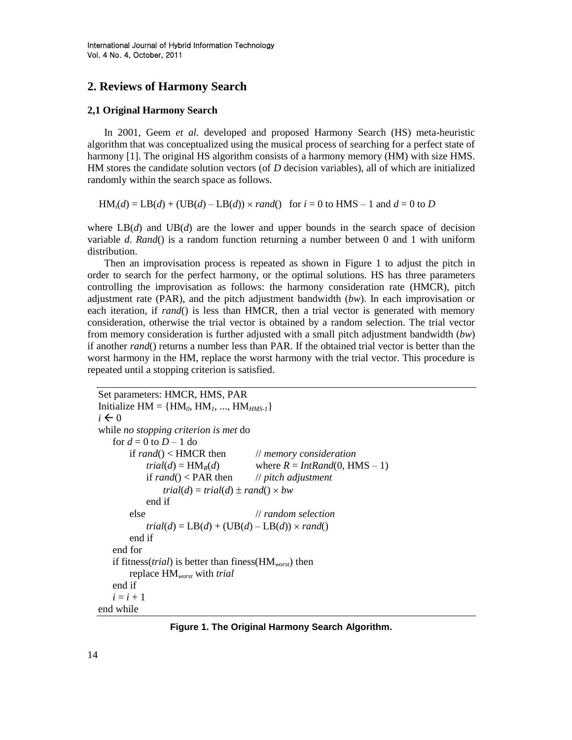# **2. Reviews of Harmony Search**

#### **2,1 Original Harmony Search**

In 2001, Geem *et al.* developed and proposed Harmony Search (HS) meta-heuristic algorithm that was conceptualized using the musical process of searching for a perfect state of harmony [\[1\].](#page-5-0) The original HS algorithm consists of a harmony memory (HM) with size HMS. HM stores the candidate solution vectors (of *D* decision variables), all of which are initialized randomly within the search space as follows.

 $HM_i(d) = LB(d) + (UB(d) - LB(d)) \times rand()$  for  $i = 0$  to HMS – 1 and  $d = 0$  to *D* 

where  $LB(d)$  and  $UB(d)$  are the lower and upper bounds in the search space of decision variable *d*. *Rand*() is a random function returning a number between 0 and 1 with uniform distribution.

Then an improvisation process is repeated as shown in [Figure 1](#page-1-0) to adjust the pitch in order to search for the perfect harmony, or the optimal solutions. HS has three parameters controlling the improvisation as follows: the harmony consideration rate (HMCR), pitch adjustment rate (PAR), and the pitch adjustment bandwidth (*bw*). In each improvisation or each iteration, if *rand*() is less than HMCR, then a trial vector is generated with memory consideration, otherwise the trial vector is obtained by a random selection. The trial vector from memory consideration is further adjusted with a small pitch adjustment bandwidth (*bw*) if another *rand*() returns a number less than PAR. If the obtained trial vector is better than the worst harmony in the HM, replace the worst harmony with the trial vector. This procedure is repeated until a stopping criterion is satisfied.

```
Set parameters: HMCR, HMS, PAR
Initialize HM = \{HM_0, HM_1, ..., HM_{HMS-1}\}\i \leftarrow 0while no stopping criterion is met do
   for d = 0 to D - 1 do
       if rand() < HMCR then // memory consideration
           trial(d) = HM<sub>R</sub>(d) where R = IntRand(0, HMS - 1)if rand() < PAR then // pitch adjustment
               trial(d) = trial(d) \pm rand() \times bwend if
       else // random selection
           trial(d) = LB(d) + (UB(d) – LB(d)) \times rand()end if
   end for
   if fitness(trial) is better than finess(HMworst) then
       replace HMworst with trial
   end if
   i = i + 1end while
```
<span id="page-1-0"></span>**Figure 1. The Original Harmony Search Algorithm.**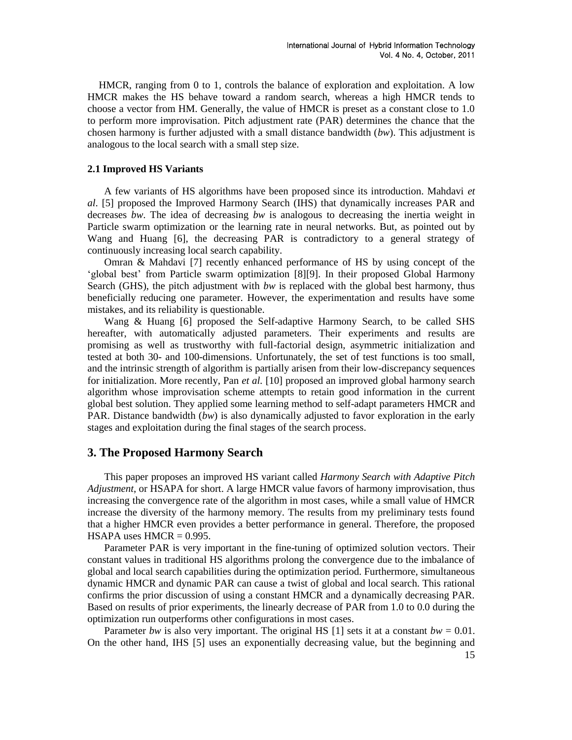HMCR, ranging from 0 to 1, controls the balance of exploration and exploitation. A low HMCR makes the HS behave toward a random search, whereas a high HMCR tends to choose a vector from HM. Generally, the value of HMCR is preset as a constant close to 1.0 to perform more improvisation. Pitch adjustment rate (PAR) determines the chance that the chosen harmony is further adjusted with a small distance bandwidth (*bw*). This adjustment is analogous to the local search with a small step size.

#### **2.1 Improved HS Variants**

A few variants of HS algorithms have been proposed since its introduction. Mahdavi *et al*. [\[5\]](#page-6-1) proposed the Improved Harmony Search (IHS) that dynamically increases PAR and decreases *bw*. The idea of decreasing *bw* is analogous to decreasing the inertia weight in Particle swarm optimization or the learning rate in neural networks. But, as pointed out by Wang and Huang [\[6\],](#page-6-2) the decreasing PAR is contradictory to a general strategy of continuously increasing local search capability.

Omran & Mahdavi [\[7\]](#page-6-3) recently enhanced performance of HS by using concept of the ‗global best' from Particle swarm optimization [\[8\]\[9\].](#page-6-4) In their proposed Global Harmony Search (GHS), the pitch adjustment with *bw* is replaced with the global best harmony, thus beneficially reducing one parameter. However, the experimentation and results have some mistakes, and its reliability is questionable.

Wang & Huang [\[6\]](#page-6-2) proposed the Self-adaptive Harmony Search, to be called SHS hereafter, with automatically adjusted parameters. Their experiments and results are promising as well as trustworthy with full-factorial design, asymmetric initialization and tested at both 30- and 100-dimensions. Unfortunately, the set of test functions is too small, and the intrinsic strength of algorithm is partially arisen from their low-discrepancy sequences for initialization. More recently, Pan *et al.* [\[10\]](#page-6-5) proposed an improved global harmony search algorithm whose improvisation scheme attempts to retain good information in the current global best solution. They applied some learning method to self-adapt parameters HMCR and PAR. Distance bandwidth (*bw*) is also dynamically adjusted to favor exploration in the early stages and exploitation during the final stages of the search process.

## **3. The Proposed Harmony Search**

This paper proposes an improved HS variant called *Harmony Search with Adaptive Pitch Adjustment*, or HSAPA for short. A large HMCR value favors of harmony improvisation, thus increasing the convergence rate of the algorithm in most cases, while a small value of HMCR increase the diversity of the harmony memory. The results from my preliminary tests found that a higher HMCR even provides a better performance in general. Therefore, the proposed HSAPA uses  $HMCR = 0.995$ .

Parameter PAR is very important in the fine-tuning of optimized solution vectors. Their constant values in traditional HS algorithms prolong the convergence due to the imbalance of global and local search capabilities during the optimization period. Furthermore, simultaneous dynamic HMCR and dynamic PAR can cause a twist of global and local search. This rational confirms the prior discussion of using a constant HMCR and a dynamically decreasing PAR. Based on results of prior experiments, the linearly decrease of PAR from 1.0 to 0.0 during the optimization run outperforms other configurations in most cases.

Parameter *bw* is also very important. The original HS [\[1\]](#page-5-0) sets it at a constant  $bw = 0.01$ . On the other hand, IHS [\[5\]](#page-6-1) uses an exponentially decreasing value, but the beginning and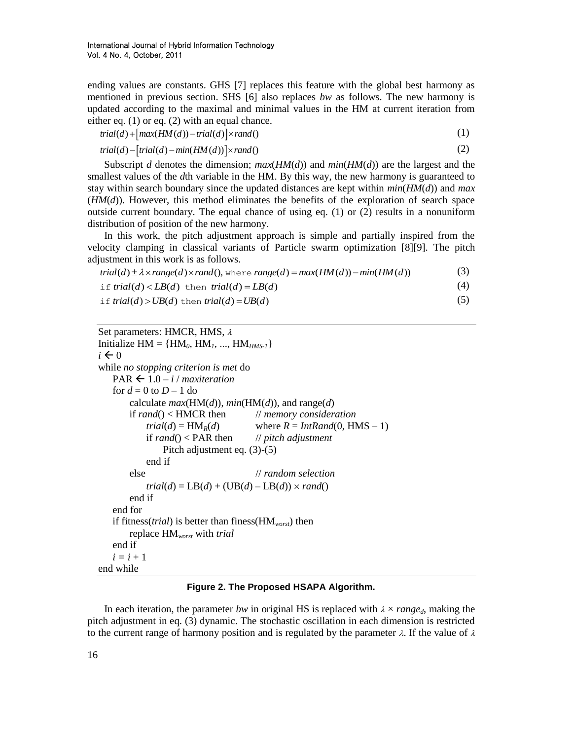ending values are constants. GHS [\[7\]](#page-6-3) replaces this feature with the global best harmony as mentioned in previous section. SHS [\[6\]](#page-6-2) also replaces *bw* as follows. The new harmony is updated according to the maximal and minimal values in the HM at current iteration from either eq. (1) or eq. (2) with an equal chance.<br>  $trial(d) + [max(HM(d)) - trial(d)] \times rand()$ 

$$
trial(d) + [max(HM(d)) - trial(d)] \times rand()
$$
\n(1)

$$
trial(d) + [max(HM(d)) - trial(d)] \times rand()
$$
\n
$$
trial(d) - [trial(d) - min(HM(d))] \times rand()
$$
\n
$$
(2)
$$

Subscript *d* denotes the dimension;  $max(HM(d))$  and  $min(HM(d))$  are the largest and the smallest values of the *d*th variable in the HM. By this way, the new harmony is guaranteed to stay within search boundary since the updated distances are kept within *min*(*HM*(*d*)) and *max*  $(HM(d))$ . However, this method eliminates the benefits of the exploration of search space outside current boundary. The equal chance of using eq.  $(1)$  or  $(2)$  results in a nonuniform distribution of position of the new harmony.

In this work, the pitch adjustment approach is simple and partially inspired from the velocity clamping in classical variants of Particle swarm optimization [\[8\]\[9\].](#page-6-4) The pitch adjustment in this work is as follows. In this work, the pitch adjustment approach is simple and partially ins<br>ocity clamping in classical variants of Particle swarm optimization [8]<br>ustment in this work is as follows.<br> $trial(d) \pm \lambda \times range(d) \times rand($ , where  $range(d) = max(HM(d)) - min(HM(d$ 

| $trial(d) \pm \lambda \times range(d) \times rand($ , where $range(d) = max(HM(d)) - min(HM(d))$ | (3) |
|--------------------------------------------------------------------------------------------------|-----|
| if trial(d) < $LB(d)$ then trial(d) = $LB(d)$                                                    | (4) |

(4) if  $trial(d) < LB(d)$  then  $trial(d) = LB(d)$ <br>if  $trial(d) > UB(d)$  then  $trial(d) = UB(d)$ 

(5)

```
Set parameters: HMCR, HMS, \lambdaInitialize HM = \{HM_0, HM_1, ..., HM_{HMS-1}\}\i \leftarrow 0while no stopping criterion is met do
   PAR \leftarrow 1.0 – i / maxiteration
   for d = 0 to D - 1 do
       calculate max(HM(d)), min(HM(d)), and range(d)if rand() < HMCR then // memory consideration
           trial(d) = HM_R(d) where R = IntRand(0, HMS - 1)if rand() < PAR then // pitch adjustment
               Pitch adjustment eq. (3)-(5)
           end if
       else // random selection
           trial(d) = LB(d) + (UB(d) – LB(d)) \times rand()end if
   end for
   if fitness(trial) is better than finess(HMworst) then
       replace HMworst with trial
   end if
   i = i + 1end while
```
#### **Figure 2. The Proposed HSAPA Algorithm.**

<span id="page-3-0"></span>In each iteration, the parameter *bw* in original HS is replaced with  $\lambda \times range_d$ , making the pitch adjustment in eq. (3) dynamic. The stochastic oscillation in each dimension is restricted to the current range of harmony position and is regulated by the parameter  $\lambda$ . If the value of  $\lambda$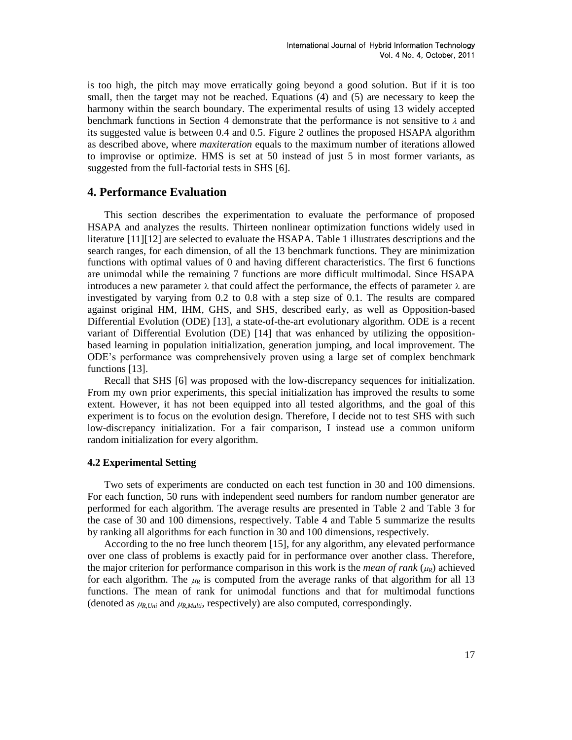is too high, the pitch may move erratically going beyond a good solution. But if it is too small, then the target may not be reached. Equations (4) and (5) are necessary to keep the harmony within the search boundary. The experimental results of using 13 widely accepted benchmark functions in Section 4 demonstrate that the performance is not sensitive to  $\lambda$  and its suggested value is between 0.4 and 0.5. [Figure 2](#page-3-0) outlines the proposed HSAPA algorithm as described above, where *maxiteration* equals to the maximum number of iterations allowed to improvise or optimize. HMS is set at 50 instead of just 5 in most former variants, as suggested from the full-factorial tests in SHS [\[6\].](#page-6-2)

# **4. Performance Evaluation**

This section describes the experimentation to evaluate the performance of proposed HSAPA and analyzes the results. Thirteen nonlinear optimization functions widely used in literature [\[11\]\[12\]](#page-6-6) are selected to evaluate the HSAPA. Table 1 illustrates descriptions and the search ranges, for each dimension, of all the 13 benchmark functions. They are minimization functions with optimal values of 0 and having different characteristics. The first 6 functions are unimodal while the remaining 7 functions are more difficult multimodal. Since HSAPA introduces a new parameter  $\lambda$  that could affect the performance, the effects of parameter  $\lambda$  are investigated by varying from 0.2 to 0.8 with a step size of 0.1. The results are compared against original HM, IHM, GHS, and SHS, described early, as well as Opposition-based Differential Evolution (ODE) [\[13\],](#page-6-7) a state-of-the-art evolutionary algorithm. ODE is a recent variant of Differential Evolution (DE) [\[14\]](#page-6-8) that was enhanced by utilizing the oppositionbased learning in population initialization, generation jumping, and local improvement. The ODE's performance was comprehensively proven using a large set of complex benchmark functions [\[13\].](#page-6-7)

Recall that SHS [\[6\]](#page-6-2) was proposed with the low-discrepancy sequences for initialization. From my own prior experiments, this special initialization has improved the results to some extent. However, it has not been equipped into all tested algorithms, and the goal of this experiment is to focus on the evolution design. Therefore, I decide not to test SHS with such low-discrepancy initialization. For a fair comparison, I instead use a common uniform random initialization for every algorithm.

### **4.2 Experimental Setting**

Two sets of experiments are conducted on each test function in 30 and 100 dimensions. For each function, 50 runs with independent seed numbers for random number generator are performed for each algorithm. The average results are presented in [Table 2](#page-8-0) and [Table 3](#page-9-0) for the case of 30 and 100 dimensions, respectively. [Table 4](#page-10-0) and [Table 5](#page-10-1) summarize the results by ranking all algorithms for each function in 30 and 100 dimensions, respectively.

According to the no free lunch theorem [\[15\],](#page-6-9) for any algorithm, any elevated performance over one class of problems is exactly paid for in performance over another class. Therefore, the major criterion for performance comparison in this work is the *mean* of rank ( $\mu_R$ ) achieved for each algorithm. The  $\mu_R$  is computed from the average ranks of that algorithm for all 13 functions. The mean of rank for unimodal functions and that for multimodal functions (denoted as  $\mu_{R,Uni}$  and  $\mu_{R,Multi}$ , respectively) are also computed, correspondingly.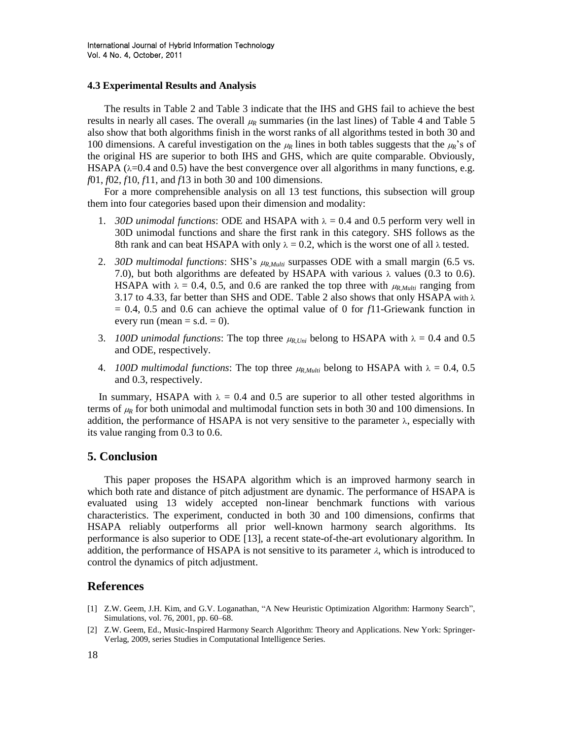### **4.3 Experimental Results and Analysis**

The results in [Table 2](#page-8-0) and [Table 3](#page-9-0) indicate that the IHS and GHS fail to achieve the best results in nearly all cases. The overall  $\mu_R$  summaries (in the last lines) of [Table 4](#page-10-0) and [Table 5](#page-10-1) also show that both algorithms finish in the worst ranks of all algorithms tested in both 30 and 100 dimensions. A careful investigation on the  $\mu_R$  lines in both tables suggests that the  $\mu_R$ 's of the original HS are superior to both IHS and GHS, which are quite comparable. Obviously, HSAPA ( $\lambda$ =0.4 and 0.5) have the best convergence over all algorithms in many functions, e.g. *f*01, *f*02, *f*10, *f*11, and *f*13 in both 30 and 100 dimensions.

For a more comprehensible analysis on all 13 test functions, this subsection will group them into four categories based upon their dimension and modality:

- 1. *30D unimodal functions*: ODE and HSAPA with  $\lambda = 0.4$  and 0.5 perform very well in 30D unimodal functions and share the first rank in this category. SHS follows as the 8th rank and can beat HSAPA with only  $\lambda = 0.2$ , which is the worst one of all  $\lambda$  tested.
- 2. *30D multimodal functions*: SHS's *R,Multi* surpasses ODE with a small margin (6.5 vs. 7.0), but both algorithms are defeated by HSAPA with various  $\lambda$  values (0.3 to 0.6). HSAPA with  $\lambda = 0.4$ , 0.5, and 0.6 are ranked the top three with  $\mu_{R,Multi}$  ranging from 3.17 to 4.33, far better than SHS and ODE. [Table 2](#page-8-0) also shows that only HSAPA with  $\lambda$ = 0.4, 0.5 and 0.6 can achieve the optimal value of 0 for *f*11-Griewank function in every run (mean  $=$  s.d.  $=$  0).
- 3. *100D unimodal functions*: The top three  $\mu_{R,Uni}$  belong to HSAPA with  $\lambda = 0.4$  and 0.5 and ODE, respectively.
- 4. *100D multimodal functions*: The top three  $\mu_{R, Multi}$  belong to HSAPA with  $\lambda = 0.4$ , 0.5 and 0.3, respectively.

In summary, HSAPA with  $\lambda = 0.4$  and 0.5 are superior to all other tested algorithms in terms of  $\mu_R$  for both unimodal and multimodal function sets in both 30 and 100 dimensions. In addition, the performance of HSAPA is not very sensitive to the parameter  $\lambda$ , especially with its value ranging from 0.3 to 0.6.

## **5. Conclusion**

This paper proposes the HSAPA algorithm which is an improved harmony search in which both rate and distance of pitch adjustment are dynamic. The performance of HSAPA is evaluated using 13 widely accepted non-linear benchmark functions with various characteristics. The experiment, conducted in both 30 and 100 dimensions, confirms that HSAPA reliably outperforms all prior well-known harmony search algorithms. Its performance is also superior to ODE [\[13\],](#page-6-7) a recent state-of-the-art evolutionary algorithm. In addition, the performance of HSAPA is not sensitive to its parameter  $\lambda$ , which is introduced to control the dynamics of pitch adjustment.

### **References**

- <span id="page-5-0"></span>[1] Z.W. Geem, J.H. Kim, and G.V. Loganathan, "A New Heuristic Optimization Algorithm: Harmony Search", Simulations, vol. 76, 2001, pp. 60–68.
- <span id="page-5-1"></span>[2] Z.W. Geem, Ed., Music-Inspired Harmony Search Algorithm: Theory and Applications. New York: Springer-Verlag, 2009, series Studies in Computational Intelligence Series.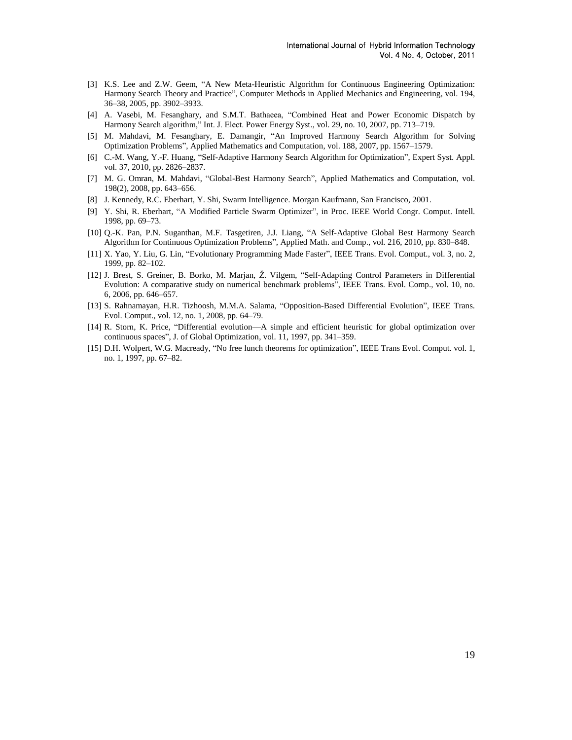- <span id="page-6-0"></span>[3] K.S. Lee and Z.W. Geem, "A New Meta-Heuristic Algorithm for Continuous Engineering Optimization: Harmony Search Theory and Practice", Computer Methods in Applied Mechanics and Engineering, vol. 194, 36–38, 2005, pp. 3902–3933.
- [4] A. Vasebi, M. Fesanghary, and S.M.T. Bathaeea, "Combined Heat and Power Economic Dispatch by Harmony Search algorithm," Int. J. Elect. Power Energy Syst., vol. 29, no. 10, 2007, pp. 713–719.
- <span id="page-6-1"></span>[5] M. Mahdavi, M. Fesanghary, E. Damangir, "An Improved Harmony Search Algorithm for Solving Optimization Problems‖, Applied Mathematics and Computation, vol. 188, 2007, pp. 1567–1579.
- <span id="page-6-2"></span>[6] C.-M. Wang, Y.-F. Huang, "Self-Adaptive Harmony Search Algorithm for Optimization", Expert Syst. Appl. vol. 37, 2010, pp. 2826–2837.
- <span id="page-6-3"></span>[7] M. G. Omran, M. Mahdavi, "Global-Best Harmony Search", Applied Mathematics and Computation, vol. 198(2), 2008, pp. 643–656.
- <span id="page-6-4"></span>[8] J. Kennedy, R.C. Eberhart, Y. Shi, Swarm Intelligence. Morgan Kaufmann, San Francisco, 2001.
- [9] Y. Shi, R. Eberhart, "A Modified Particle Swarm Optimizer", in Proc. IEEE World Congr. Comput. Intell. 1998, pp. 69–73.
- <span id="page-6-5"></span>[10] Q.-K. Pan, P.N. Suganthan, M.F. Tasgetiren, J.J. Liang, "A Self-Adaptive Global Best Harmony Search Algorithm for Continuous Optimization Problems", Applied Math. and Comp., vol. 216, 2010, pp. 830–848.
- <span id="page-6-6"></span>[11] X. Yao, Y. Liu, G. Lin, "Evolutionary Programming Made Faster", IEEE Trans. Evol. Comput., vol. 3, no. 2, 1999, pp. 82–102.
- [12] J. Brest, S. Greiner, B. Borko, M. Marjan, Ž. Vilgem, "Self-Adapting Control Parameters in Differential Evolution: A comparative study on numerical benchmark problems", IEEE Trans. Evol. Comp., vol. 10, no. 6, 2006, pp. 646–657.
- <span id="page-6-7"></span>[13] S. Rahnamayan, H.R. Tizhoosh, M.M.A. Salama, "Opposition-Based Differential Evolution", IEEE Trans. Evol. Comput., vol. 12, no. 1, 2008, pp. 64–79.
- <span id="page-6-8"></span>[14] R. Storn, K. Price, "Differential evolution—A simple and efficient heuristic for global optimization over continuous spaces", J. of Global Optimization, vol. 11, 1997, pp. 341–359.
- <span id="page-6-9"></span>[15] D.H. Wolpert, W.G. Macready, "No free lunch theorems for optimization", IEEE Trans Evol. Comput. vol. 1, no. 1, 1997, pp. 67–82.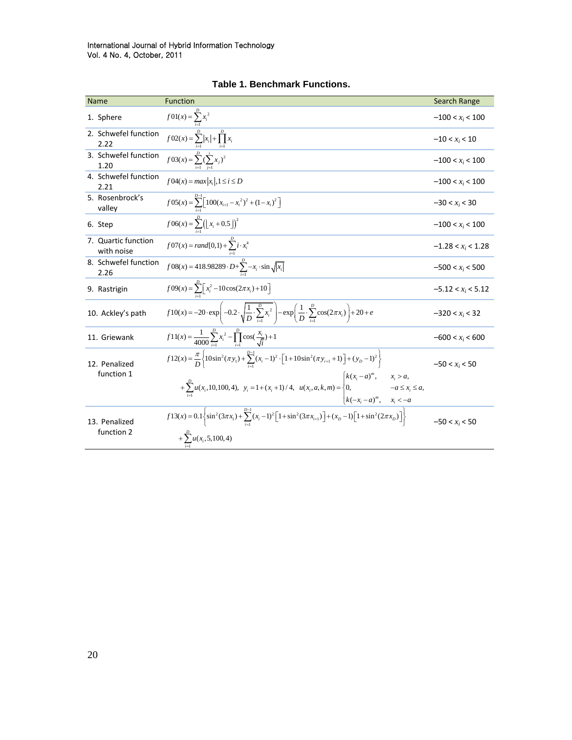| <b>Name</b>                       | <b>Function</b>                                                                                                                                                                                            | Search Range         |
|-----------------------------------|------------------------------------------------------------------------------------------------------------------------------------------------------------------------------------------------------------|----------------------|
| 1. Sphere                         | $f(01(x)) = \sum_{i=1}^{D} x_i^2$<br>$f(02(x)) = \sum_{i=1}^{D}  x_i  + \prod_{i=1}^{D} x_i$                                                                                                               | $-100 < x_i < 100$   |
| 2. Schwefel function<br>2.22      |                                                                                                                                                                                                            | $-10 < x_i < 10$     |
| 3. Schwefel function<br>1.20      | $f03(x) = \sum_{i=1}^{D} (\sum_{i=1}^{i} x_i)^2$                                                                                                                                                           | $-100 < x_i < 100$   |
| 4. Schwefel function<br>2.21      | $f04(x) = max  x_i , 1 \le i \le D$                                                                                                                                                                        | $-100 < x_i < 100$   |
| 5. Rosenbrock's<br>valley         | $f 05(x) = \sum_{i=1}^{D-1} \left[ 100(x_{i+1} - x_i^2)^2 + (1 - x_i)^2 \right]$                                                                                                                           | $-30 < x_i < 30$     |
| 6. Step                           | $f06(x) = \sum_{i=1}^{D} ([x_i + 0.5])^2$                                                                                                                                                                  | $-100 < x_i < 100$   |
| 7. Quartic function<br>with noise | $f 07(x) = rand[0,1) + \sum_{i=1}^{D} i \cdot x_i^4$                                                                                                                                                       | $-1.28 < x_i < 1.28$ |
| 8. Schwefel function<br>2.26      | $\overline{f}08(x) = 418.98289 \cdot D + \sum_{i=1}^{D} -x_i \cdot \sin \sqrt{ x_i }$                                                                                                                      | $-500 < x_i < 500$   |
| 9. Rastrigin                      | $f09(x) = \sum_{i=1}^{D} \left[ x_i^2 - 10\cos(2\pi x_i) + 10 \right]$                                                                                                                                     | $-5.12 < x_i < 5.12$ |
| 10. Ackley's path                 | $f10(x) = -20 \cdot \exp\left(-0.2 \cdot \sqrt{\frac{1}{D} \cdot \sum_{i=1}^{D} x_i^2}\right) - \exp\left(\frac{1}{D} \cdot \sum_{i=1}^{D} \cos(2\pi x_i)\right) + 20 + e$                                 | $-320 < x_i < 32$    |
| 11. Griewank                      | $f11(x) = {1 \over 4000} \sum_{i=1}^{D} x_i^2 - \prod_{i=1}^{D} \cos(\frac{x_i}{\sqrt{i}}) + 1$                                                                                                            | $-600 < x_i < 600$   |
| 12. Penalized<br>function 1       | $f12(x) = \frac{\pi}{D} \left\{ 10\sin^2(\pi y_i) + \sum_{i=1}^{D-1} (x_i - 1)^2 \cdot \left[ 1 + 10\sin^2(\pi y_{i+1} + 1) \right] + (y_D - 1)^2 \right\}$<br>$\left[ k(x_i-a)^m, \right]$<br>$x_i > a$ , | $-50 < x_i < 50$     |
|                                   | $+\sum_{i=1}^{k}u(x_i,10,100,4), y_i=1+(x_i+1)/4, u(x_i,a,k,m)=\begin{cases}0, & -a\leq x_i\leq a, \end{cases}$<br>$\left[ k(-x_i - a)^m, \quad x_i < -a \right]$                                          |                      |
| 13. Penalized<br>function 2       | $\overline{f13}(x) = 0.1 \left\{ \sin^2(3\pi x_1) + \sum_{i=1}^{D-1} (x_i - 1)^2 \left[ 1 + \sin^2(3\pi x_{i+1}) \right] + (x_D - 1) \left[ 1 + \sin^2(2\pi x_D) \right] \right\}$                         | $-50 < x_i < 50$     |
|                                   | + $\sum u(x_i, 5, 100, 4)$                                                                                                                                                                                 |                      |

**Table 1. Benchmark Functions.**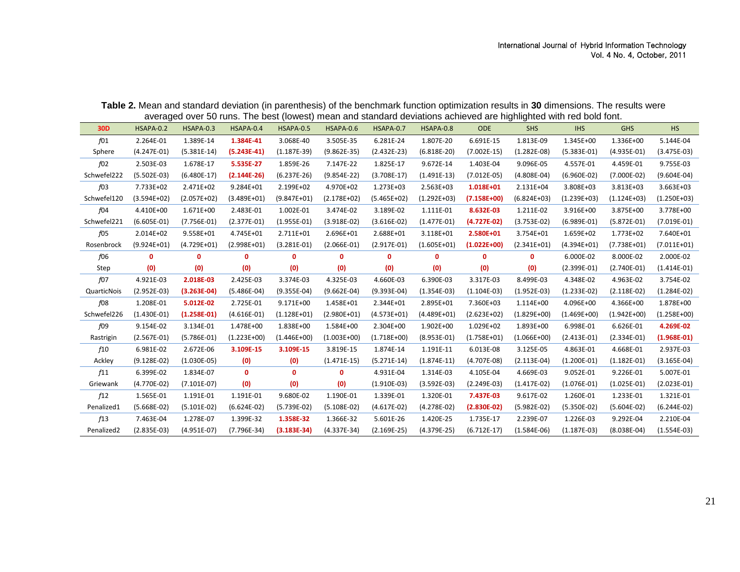| Table 2. Mean and standard deviation (in parenthesis) of the benchmark function optimization results in 30 dimensions. The results were |  |  |
|-----------------------------------------------------------------------------------------------------------------------------------------|--|--|
| averaged over 50 runs. The best (lowest) mean and standard deviations achieved are highlighted with red bold font.                      |  |  |

<span id="page-8-0"></span>

| 30 <sub>D</sub> | HSAPA-0.2     | HSAPA-0.3     | HSAPA-0.4     | HSAPA-0.5     | HSAPA-0.6     | HSAPA-0.7     | HSAPA-0.8     | <b>ODE</b>    | <b>SHS</b>    | <b>IHS</b>    | <b>GHS</b>    | <b>HS</b>     |
|-----------------|---------------|---------------|---------------|---------------|---------------|---------------|---------------|---------------|---------------|---------------|---------------|---------------|
| f01             | 2.264E-01     | 1.389E-14     | 1.384E-41     | 3.068E-40     | 3.505E-35     | 6.281E-24     | 1.807E-20     | 6.691E-15     | 1.813E-09     | 1.345E+00     | 1.336E+00     | 5.144E-04     |
| Sphere          | $(4.247E-01)$ | $(5.381E-14)$ | $(5.243E-41)$ | $(1.187E-39)$ | $(9.862E-35)$ | $(2.432E-23)$ | $(6.818E-20)$ | $(7.002E-15)$ | $(1.282E-08)$ | $(5.383E-01)$ | $(4.935E-01)$ | $(3.475E-03)$ |
| f02             | 2.503E-03     | 1.678E-17     | 5.535E-27     | 1.859E-26     | 7.147E-22     | 1.825E-17     | 9.672E-14     | 1.403E-04     | 9.096E-05     | 4.557E-01     | 4.459E-01     | 9.755E-03     |
| Schwefel222     | $(5.502E-03)$ | $(6.480E-17)$ | $(2.144E-26)$ | $(6.237E-26)$ | $(9.854E-22)$ | $(3.708E-17)$ | $(1.491E-13)$ | $(7.012E-05)$ | $(4.808E-04)$ | $(6.960E-02)$ | $(7.000E-02)$ | $(9.604E-04)$ |
| f03             | 7.733E+02     | 2.471E+02     | 9.284E+01     | 2.199E+02     | 4.970E+02     | 1.273E+03     | 2.563E+03     | 1.018E+01     | 2.131E+04     | 3.808E+03     | 3.813E+03     | 3.663E+03     |
| Schwefel120     | $(3.594E+02)$ | $(2.057E+02)$ | $(3.489E+01)$ | $(9.847E+01)$ | $(2.178E+02)$ | $(5.465E+02)$ | $(1.292E+03)$ | $(7.158E+00)$ | $(6.824E+03)$ | $(1.239E+03)$ | $(1.124E+03)$ | $(1.250E+03)$ |
| f04             | 4.410E+00     | 1.671E+00     | 2.483E-01     | 1.002E-01     | 3.474E-02     | 3.189E-02     | 1.111E-01     | 8.632E-03     | 1.211E-02     | 3.916E+00     | 3.875E+00     | 3.778E+00     |
| Schwefel221     | $(6.605E-01)$ | $(7.756E-01)$ | $(2.377E-01)$ | $(1.955E-01)$ | $(3.918E-02)$ | $(3.616E-02)$ | $(1.477E-01)$ | $(4.727E-02)$ | $(3.753E-02)$ | $(6.989E-01)$ | $(5.872E-01)$ | $(7.019E-01)$ |
| f05             | 2.014E+02     | 9.558E+01     | 4.745E+01     | 2.711E+01     | 2.696E+01     | 2.688E+01     | 3.118E+01     | 2.580E+01     | 3.754E+01     | 1.659E+02     | 1.773E+02     | 7.640E+01     |
| Rosenbrock      | $(9.924E+01)$ | $(4.729E+01)$ | $(2.998E+01)$ | $(3.281E-01)$ | $(2.066E-01)$ | $(2.917E-01)$ | $(1.605E+01)$ | $(1.022E+00)$ | $(2.341E+01)$ | $(4.394E+01)$ | $(7.738E+01)$ | $(7.011E+01)$ |
| f06             | 0             | $\mathbf{0}$  | 0             | $\mathbf 0$   | $\mathbf 0$   | 0             | 0             | 0             | 0             | 6.000E-02     | 8.000E-02     | 2.000E-02     |
| Step            | (0)           | (0)           | (0)           | (0)           | (0)           | (0)           | (0)           | (0)           | (0)           | $(2.399E-01)$ | $(2.740E-01)$ | $(1.414E-01)$ |
| f07             | 4.921E-03     | 2.018E-03     | 2.425E-03     | 3.374E-03     | 4.325E-03     | 4.660E-03     | 6.390E-03     | 3.317E-03     | 8.499E-03     | 4.348E-02     | 4.963E-02     | 3.754E-02     |
| QuarticNois     | $(2.952E-03)$ | $(3.263E-04)$ | $(5.486E-04)$ | $(9.355E-04)$ | $(9.662E-04)$ | $(9.393E-04)$ | $(1.354E-03)$ | $(1.104E-03)$ | $(1.952E-03)$ | $(1.233E-02)$ | $(2.118E-02)$ | $(1.284E-02)$ |
| f08             | 1.208E-01     | 5.012E-02     | 2.725E-01     | 9.171E+00     | 1.458E+01     | 2.344E+01     | 2.895E+01     | 7.360E+03     | 1.114E+00     | 4.096E+00     | 4.366E+00     | 1.878E+00     |
| Schwefel226     | $(1.430E-01)$ | $(1.258E-01)$ | $(4.616E-01)$ | $(1.128E+01)$ | $(2.980E+01)$ | $(4.573E+01)$ | $(4.489E+01)$ | $(2.623E+02)$ | $(1.829E+00)$ | $(1.469E+00)$ | $(1.942E+00)$ | $(1.258E+00)$ |
| f09             | 9.154E-02     | 3.134E-01     | 1.478E+00     | 1.838E+00     | 1.584E+00     | 2.304E+00     | 1.902E+00     | 1.029E+02     | 1.893E+00     | 6.998E-01     | 6.626E-01     | 4.269E-02     |
| Rastrigin       | $(2.567E-01)$ | $(5.786E-01)$ | $(1.223E+00)$ | $(1.446E+00)$ | $(1.003E+00)$ | $(1.718E+00)$ | $(8.953E-01)$ | $(1.758E+01)$ | $(1.066E+00)$ | $(2.413E-01)$ | $(2.334E-01)$ | $(1.968E-01)$ |
| f10             | 6.981E-02     | 2.672E-06     | 3.109E-15     | 3.109E-15     | 3.819E-15     | 1.874E-14     | 1.191E-11     | 6.013E-08     | 3.125E-05     | 4.863E-01     | 4.668E-01     | 2.937E-03     |
| Ackley          | $(9.128E-02)$ | $(1.030E-05)$ | (0)           | (0)           | $(1.471E-15)$ | $(5.271E-14)$ | $(1.874E-11)$ | $(4.707E-08)$ | $(2.113E-04)$ | $(1.200E-01)$ | $(1.182E-01)$ | $(3.165E-04)$ |
| f11             | 6.399E-02     | 1.834E-07     | $\mathbf{0}$  | $\mathbf{0}$  | 0             | 4.931E-04     | 1.314E-03     | 4.105E-04     | 4.669E-03     | 9.052E-01     | 9.226E-01     | 5.007E-01     |
| Griewank        | $(4.770E-02)$ | $(7.101E-07)$ | (0)           | (0)           | (0)           | $(1.910E-03)$ | $(3.592E-03)$ | $(2.249E-03)$ | $(1.417E-02)$ | $(1.076E-01)$ | $(1.025E-01)$ | $(2.023E-01)$ |
| f12             | 1.565E-01     | 1.191E-01     | 1.191E-01     | 9.680E-02     | 1.190E-01     | 1.339E-01     | 1.320E-01     | 7.437E-03     | 9.617E-02     | 1.260E-01     | 1.233E-01     | 1.321E-01     |
| Penalized1      | $(5.668E-02)$ | $(5.101E-02)$ | $(6.624E-02)$ | $(5.739E-02)$ | $(5.108E-02)$ | $(4.617E-02)$ | $(4.278E-02)$ | $(2.830E-02)$ | $(5.982E-02)$ | $(5.350E-02)$ | $(5.604E-02)$ | $(6.244E-02)$ |
| f13             | 7.463E-04     | 1.278E-07     | 1.399E-32     | 1.358E-32     | 1.366E-32     | 5.601E-26     | 1.420E-25     | 1.735E-17     | 2.239E-07     | 1.226E-03     | 9.292E-04     | 2.210E-04     |
| Penalized2      | $(2.835E-03)$ | $(4.951E-07)$ | $(7.796E-34)$ | $(3.183E-34)$ | $(4.337E-34)$ | $(2.169E-25)$ | $(4.379E-25)$ | $(6.712E-17)$ | $(1.584E-06)$ | $(1.187E-03)$ | $(8.038E-04)$ | $(1.554E-03)$ |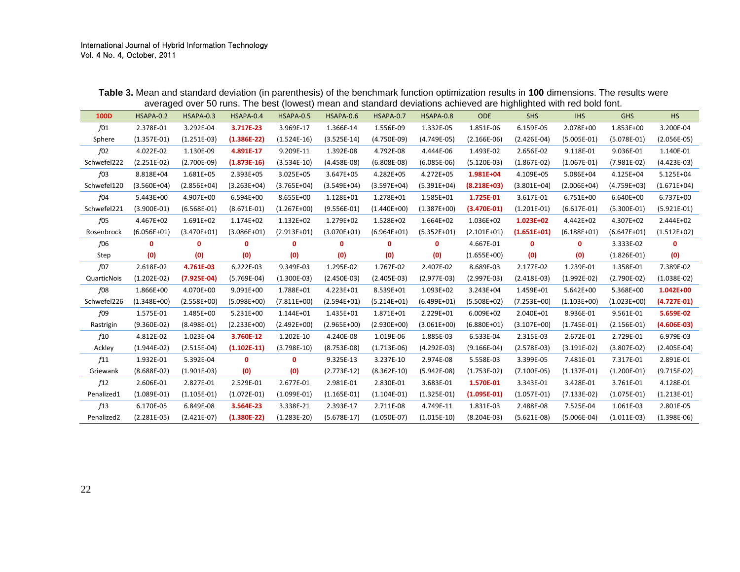<span id="page-9-0"></span>

| 100D        | HSAPA-0.2     | HSAPA-0.3     | HSAPA-0.4     | HSAPA-0.5     | HSAPA-0.6     | HSAPA-0.7     | HSAPA-0.8     | <b>ODE</b>    | <b>SHS</b>    | <b>IHS</b>    | <b>GHS</b>    | <b>HS</b>     |
|-------------|---------------|---------------|---------------|---------------|---------------|---------------|---------------|---------------|---------------|---------------|---------------|---------------|
| f01         | 2.378E-01     | 3.292E-04     | 3.717E-23     | 3.969E-17     | 1.366E-14     | 1.556E-09     | 1.332E-05     | 1.851E-06     | 6.159E-05     | 2.078E+00     | 1.853E+00     | 3.200E-04     |
| Sphere      | $(1.357E-01)$ | $(1.251E-03)$ | $(1.386E-22)$ | $(1.524E-16)$ | $(3.525E-14)$ | $(4.750E-09)$ | $(4.749E-05)$ | $(2.166E-06)$ | $(2.426E-04)$ | $(5.005E-01)$ | $(5.078E-01)$ | $(2.056E-05)$ |
| f02         | 4.022E-02     | 1.130E-09     | 4.891E-17     | 9.209E-11     | 1.392E-08     | 4.792E-08     | 4.444E-06     | 1.493E-02     | 2.656E-02     | 9.118E-01     | 9.036E-01     | 1.140E-01     |
| Schwefel222 | $(2.251E-02)$ | $(2.700E-09)$ | $(1.873E-16)$ | $(3.534E-10)$ | $(4.458E-08)$ | $(6.808E-08)$ | $(6.085E-06)$ | $(5.120E-03)$ | $(1.867E-02)$ | $(1.067E-01)$ | $(7.981E-02)$ | $(4.423E-03)$ |
| $f_{03}$    | 8.818E+04     | 1.681E+05     | 2.393E+05     | 3.025E+05     | 3.647E+05     | 4.282E+05     | 4.272E+05     | 1.981E+04     | 4.109E+05     | 5.086E+04     | 4.125E+04     | 5.125E+04     |
| Schwefel120 | $(3.560E+04)$ | $(2.856E+04)$ | $(3.263E+04)$ | $(3.765E+04)$ | $(3.549E+04)$ | $(3.597E+04)$ | $(5.391E+04)$ | $(8.218E+03)$ | $(3.801E+04)$ | $(2.006E+04)$ | $(4.759E+03)$ | $(1.671E+04)$ |
| f04         | 5.443E+00     | 4.907E+00     | 6.594E+00     | 8.655E+00     | 1.128E+01     | 1.278E+01     | 1.585E+01     | 1.725E-01     | 3.617E-01     | 6.751E+00     | 6.640E+00     | 6.737E+00     |
| Schwefel221 | $(3.900E-01)$ | $(6.568E-01)$ | $(8.671E-01)$ | $(1.267E+00)$ | $(9.556E-01)$ | $(1.440E+00)$ | $(1.387E+00)$ | $(3.470E-01)$ | $(1.201E-01)$ | $(6.617E-01)$ | $(5.300E-01)$ | $(5.921E-01)$ |
| f05         | 4.467E+02     | 1.691E+02     | 1.174E+02     | 1.132E+02     | 1.279E+02     | 1.528E+02     | 1.664E+02     | 1.036E+02     | 1.023E+02     | 4.442E+02     | 4.307E+02     | 2.444E+02     |
| Rosenbrock  | $(6.056E+01)$ | $(3.470E+01)$ | $(3.086E+01)$ | $(2.913E+01)$ | $(3.070E+01)$ | $(6.964E+01)$ | $(5.352E+01)$ | $(2.101E+01)$ | $(1.651E+01)$ | $(6.188E+01)$ | $(6.647E+01)$ | $(1.512E+02)$ |
| f06         | $\mathbf{0}$  | $\mathbf{0}$  | 0             | $\mathbf{0}$  | $\mathbf 0$   | 0             | 0             | 4.667E-01     | 0             | 0             | 3.333E-02     | $\mathbf{0}$  |
| Step        | (0)           | (0)           | (0)           | (0)           | (0)           | (0)           | (0)           | $(1.655E+00)$ | (0)           | (0)           | $(1.826E-01)$ | (0)           |
| f07         | 2.618E-02     | 4.761E-03     | 6.222E-03     | 9.349E-03     | 1.295E-02     | 1.767E-02     | 2.407E-02     | 8.689E-03     | 2.177E-02     | 1.239E-01     | 1.358E-01     | 7.389E-02     |
| QuarticNois | $(1.202E-02)$ | $(7.925E-04)$ | $(5.769E-04)$ | $(1.300E-03)$ | $(2.450E-03)$ | $(2.405E-03)$ | $(2.977E-03)$ | $(2.997E-03)$ | $(2.418E-03)$ | $(1.992E-02)$ | $(2.790E-02)$ | $(1.038E-02)$ |
| f08         | 1.866E+00     | 4.070E+00     | 9.091E+00     | 1.788E+01     | 4.223E+01     | 8.539E+01     | 1.093E+02     | 3.243E+04     | 1.459E+01     | 5.642E+00     | 5.368E+00     | 1.042E+00     |
| Schwefel226 | $(1.348E+00)$ | $(2.558E+00)$ | $(5.098E+00)$ | $(7.811E+00)$ | $(2.594E+01)$ | $(5.214E+01)$ | $(6.499E+01)$ | $(5.508E+02)$ | $(7.253E+00)$ | $(1.103E+00)$ | $(1.023E+00)$ | $(4.727E-01)$ |
| f09         | 1.575E-01     | 1.485E+00     | 5.231E+00     | 1.144E+01     | 1.435E+01     | 1.871E+01     | 2.229E+01     | 6.009E+02     | 2.040E+01     | 8.936E-01     | 9.561E-01     | 5.659E-02     |
| Rastrigin   | $(9.360E-02)$ | $(8.498E-01)$ | $(2.233E+00)$ | $(2.492E+00)$ | $(2.965E+00)$ | $(2.930E+00)$ | $(3.061E+00)$ | $(6.880E+01)$ | $(3.107E+00)$ | $(1.745E-01)$ | $(2.156E-01)$ | $(4.606E-03)$ |
| f10         | 4.812E-02     | 1.023E-04     | 3.760E-12     | 1.202E-10     | 4.240E-08     | 1.019E-06     | 1.885E-03     | 6.533E-04     | 2.315E-03     | 2.672E-01     | 2.729E-01     | 6.979E-03     |
| Ackley      | $(1.944E-02)$ | $(2.515E-04)$ | $(1.102E-11)$ | $(3.798E-10)$ | $(8.753E-08)$ | $(1.713E-06)$ | $(4.292E-03)$ | $(9.166E-04)$ | $(2.578E-03)$ | $(3.191E-02)$ | $(3.807E-02)$ | $(2.405E-04)$ |
| f11         | 1.932E-01     | 5.392E-04     | $\mathbf{0}$  | 0             | 9.325E-13     | 3.237E-10     | 2.974E-08     | 5.558E-03     | 3.399E-05     | 7.481E-01     | 7.317E-01     | 2.891E-01     |
| Griewank    | $(8.688E-02)$ | $(1.901E-03)$ | (0)           | (0)           | $(2.773E-12)$ | $(8.362E-10)$ | $(5.942E-08)$ | $(1.753E-02)$ | $(7.100E-05)$ | $(1.137E-01)$ | $(1.200E-01)$ | $(9.715E-02)$ |
| f12         | 2.606E-01     | 2.827E-01     | 2.529E-01     | 2.677E-01     | 2.981E-01     | 2.830E-01     | 3.683E-01     | 1.570E-01     | 3.343E-01     | 3.428E-01     | 3.761E-01     | 4.128E-01     |
| Penalized1  | $(1.089E-01)$ | $(1.105E-01)$ | $(1.072E-01)$ | $(1.099E-01)$ | $(1.165E-01)$ | $(1.104E-01)$ | $(1.325E-01)$ | $(1.095E-01)$ | $(1.057E-01)$ | $(7.133E-02)$ | $(1.075E-01)$ | $(1.213E-01)$ |
| f13         | 6.170E-05     | 6.849E-08     | 3.564E-23     | 3.338E-21     | 2.393E-17     | 2.711E-08     | 4.749E-11     | 1.831E-03     | 2.488E-08     | 7.525E-04     | 1.061E-03     | 2.801E-05     |
| Penalized2  | $(2.281E-05)$ | $(2.421E-07)$ | $(1.380E-22)$ | $(1.283E-20)$ | $(5.678E-17)$ | $(1.050E-07)$ | $(1.015E-10)$ | $(8.204E-03)$ | $(5.621E-08)$ | $(5.006E-04)$ | $(1.011E-03)$ | $(1.398E-06)$ |

**Table 3.** Mean and standard deviation (in parenthesis) of the benchmark function optimization results in **100** dimensions. The results were averaged over 50 runs. The best (lowest) mean and standard deviations achieved are highlighted with red bold font.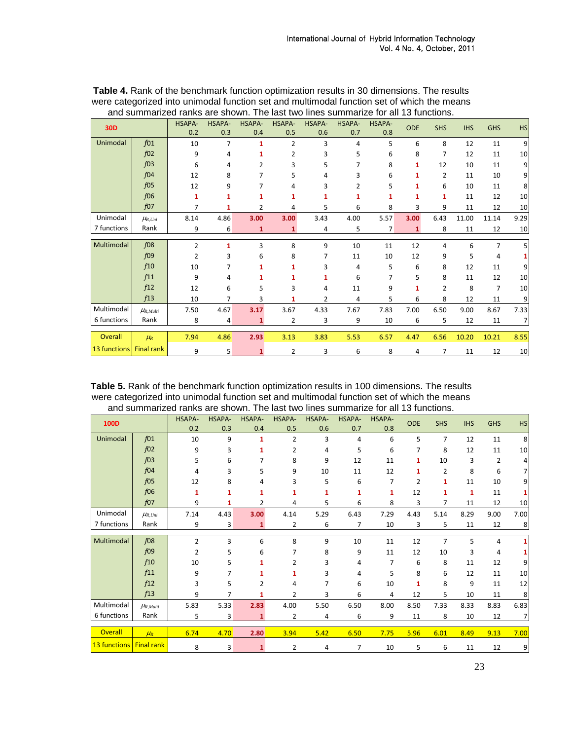| <b>30D</b>   |                    | HSAPA-<br>0.2  | HSAPA-<br>0.3 | HSAPA-<br>0.4 | HSAPA-<br>0.5  | HSAPA-<br>0.6  | HSAPA-<br>0.7  | HSAPA-<br>0.8 | <b>ODE</b> | <b>SHS</b> | <b>IHS</b> | <b>GHS</b>     | <b>HS</b>      |
|--------------|--------------------|----------------|---------------|---------------|----------------|----------------|----------------|---------------|------------|------------|------------|----------------|----------------|
| Unimodal     | $f_{01}$           | 10             | 7             | 1             | $\overline{2}$ | 3              | $\overline{4}$ | 5             | 6          | 8          | 12         | 11             | 9              |
|              | $f_{02}$           | 9              | 4             | 1             | 2              | 3              | 5              | 6             | 8          | 7          | 12         | 11             | 10             |
|              | $f_{03}$           | 6              | 4             | 2             | 3              | 5              | 7              | 8             | 1          | 12         | 10         | 11             | 9              |
|              | f04                | 12             | 8             |               | 5              | 4              | 3              | 6             | 1          | 2          | 11         | 10             | 9              |
|              | $f_{05}$           | 12             | 9             |               | 4              | 3              |                | 5             | 1          | 6          | 10         | 11             | 8              |
|              | f06                | 1              | 1             | 1             | 1              | 1              |                | 1             |            | 1          | 11         | 12             | 10             |
|              | $f_{07}$           | 7              | 1             | 2             | 4              | 5              | 6              | 8             | 3          | 9          | 11         | 12             | 10             |
| Unimodal     | $\mu_{R, Uni}$     | 8.14           | 4.86          | 3.00          | 3.00           | 3.43           | 4.00           | 5.57          | 3.00       | 6.43       | 11.00      | 11.14          | 9.29           |
| 7 functions  | Rank               | 9              | 6             | 1             | 1              | 4              | 5              | 7             | 1          | 8          | 11         | 12             | 10             |
| Multimodal   | $f_{08}$           | $\overline{2}$ | 1             | 3             | 8              | 9              | 10             | 11            | 12         | 4          | 6          | $\overline{7}$ | 5              |
|              | $f_{09}$           | 2              | 3             | 6             | 8              | 7              | 11             | 10            | 12         | 9          | 5          | 4              |                |
|              | f10                | 10             |               | 1             |                | 3              | 4              | 5             | 6          | 8          | 12         | 11             | 9              |
|              | f11                | 9              | 4             |               |                |                | 6              | 7             | 5          | 8          | 11         | 12             | 10             |
|              | f12                | 12             | 6             | 5             | 3              | 4              | 11             | 9             | 1          | 2          | 8          | 7              | 10             |
|              | f13                | 10             | 7             | 3             | 1              | $\overline{2}$ | 4              | 5             | 6          | 8          | 12         | 11             | 9              |
| Multimodal   | $\mu_{R,Multi}$    | 7.50           | 4.67          | 3.17          | 3.67           | 4.33           | 7.67           | 7.83          | 7.00       | 6.50       | 9.00       | 8.67           | 7.33           |
| 6 functions  | Rank               | 8              | 4             | 1             | 2              | 3              | 9              | 10            | 6          | 5          | 12         | 11             | $\overline{7}$ |
| Overall      | $\mu$ <sub>R</sub> | 7.94           | 4.86          | 2.93          | 3.13           | 3.83           | 5.53           | 6.57          | 4.47       | 6.56       | 10.20      | 10.21          | 8.55           |
| 13 functions | <b>Final rank</b>  | 9              | 5             | 1             | $\overline{2}$ | 3              | 6              | 8             | 4          | 7          | 11         | 12             | 10             |

<span id="page-10-0"></span>**Table 4.** Rank of the benchmark function optimization results in 30 dimensions. The results were categorized into unimodal function set and multimodal function set of which the means and summarized ranks are shown. The last two lines summarize for all 13 functions.

<span id="page-10-1"></span>

| Table 5. Rank of the benchmark function optimization results in 100 dimensions. The results |
|---------------------------------------------------------------------------------------------|
| were categorized into unimodal function set and multimodal function set of which the means  |
| and summarized ranks are shown. The last two lines summarize for all 13 functions.          |

| <b>100D</b>         |                   | HSAPA-         | HSAPA- | HSAPA-       | HSAPA-         | HSAPA- | HSAPA- | HSAPA- | <b>ODE</b> |                |            |            |                |
|---------------------|-------------------|----------------|--------|--------------|----------------|--------|--------|--------|------------|----------------|------------|------------|----------------|
|                     |                   | 0.2            | 0.3    | 0.4          | 0.5            | 0.6    | 0.7    | 0.8    |            | <b>SHS</b>     | <b>IHS</b> | <b>GHS</b> | <b>HS</b>      |
| Unimodal            | f01               | 10             | 9      | 1            | $\overline{2}$ | 3      | 4      | 6      | 5          | $\overline{7}$ | 12         | 11         | 8              |
|                     | $f_{02}$          | 9              | 3      | 1            | 2              | 4      | 5      | 6      | 7          | 8              | 12         | 11         | 10             |
|                     | $f_{03}$          | 5              | 6      |              | 8              | 9      | 12     | 11     | 1          | 10             | 3          | 2          | 4              |
|                     | f04               | 4              | 3      | 5            | 9              | 10     | 11     | 12     | 1          | 2              | 8          | 6          | 7              |
|                     | $f_{05}$          | 12             | 8      | 4            | 3              | 5      | 6      | 7      | 2          | 1              | 11         | 10         | 9              |
|                     | f06               | 1              | 1      | 1            | 1              | 1      | 1      | 1      | 12         | 1              | 1          | 11         | 1              |
|                     | $f_{07}$          | 9              |        | 2            | 4              | 5      | 6      | 8      | 3          | 7              | 11         | 12         | 10             |
| Unimodal            | $\mu_{R, Uni}$    | 7.14           | 4.43   | 3.00         | 4.14           | 5.29   | 6.43   | 7.29   | 4.43       | 5.14           | 8.29       | 9.00       | 7.00           |
| 7 functions         | Rank              | 9              | 3      | 1            | 2              | 6      | 7      | 10     | 3          | 5              | 11         | 12         | 8              |
| Multimodal          | f08               |                |        |              |                |        |        |        |            |                |            |            |                |
|                     |                   | $\overline{2}$ | 3      | 6            | 8              | 9      | 10     | 11     | 12         | $\overline{7}$ | 5          | 4          | 1              |
|                     | f09               | 2              | 5.     | 6            |                | 8      | 9      | 11     | 12         | 10             | 3          | 4          | 1              |
|                     | f10               | 10             | 5      |              | 2              | 3      | 4      | 7      | 6          | 8              | 11         | 12         | 9              |
|                     | f11               | 9              |        |              | 1              | 3      | 4      | 5      | 8          | 6              | 12         | 11         | 10             |
|                     | f12               | 3              | 5      | 2            | 4              | 7      | 6      | 10     | 1          | 8              | 9          | 11         | 12             |
|                     | f13               | 9              |        | 1            | 2              | 3      | 6      | 4      | 12         | 5              | 10         | 11         | 8              |
| Multimodal          | $\mu_{R,Multi}$   | 5.83           | 5.33   | 2.83         | 4.00           | 5.50   | 6.50   | 8.00   | 8.50       | 7.33           | 8.33       | 8.83       | 6.83           |
| 6 functions         | Rank              | 5              | 3      | 1            | 2              | 4      | 6      | 9      | 11         | 8              | 10         | 12         | $\overline{7}$ |
|                     |                   |                |        |              |                |        |        |        |            |                |            |            |                |
| <b>Overall</b>      | $\mu_R$           | 6.74           | 4.70   | 2.80         | 3.94           | 5.42   | 6.50   | 7.75   | 5.96       | 6.01           | 8.49       | 9.13       | 7.00           |
| <b>13 functions</b> | <b>Final rank</b> | 8              | 3      | $\mathbf{1}$ | 2              | 4      | 7      | 10     | 5          | 6              | 11         | 12         | 9              |